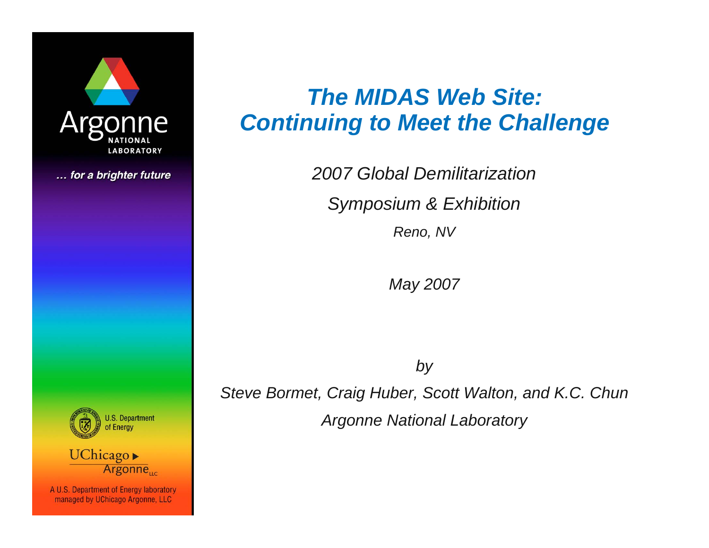

... for a brighter future

# *The MIDAS Web Site: Continuing to Meet the Challenge*

*2007 Global Demilitarization*

*Symposium & Exhibition*

*Reno, NV*

*May 2007*

*by*

*Steve Bormet, Craig Huber, Scott Walton, and K.C. Chun Argonne National Laboratory*



UChicago Argonne<sub>uc</sub>

A U.S. Department of Energy laboratory managed by UChicago Argonne, LLC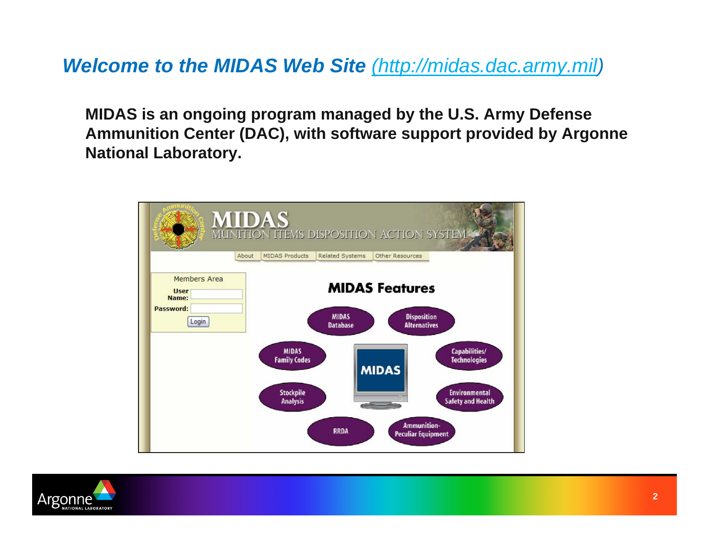## *Welcome to the MIDAS Web Site [\(http://midas.dac.army.mil](http://midas.dac.army.mil/))*

**MIDAS is an ongoing program managed by the U.S. Army Defense Ammunition Center (DAC), with software support provided by Argonne National Laboratory.**



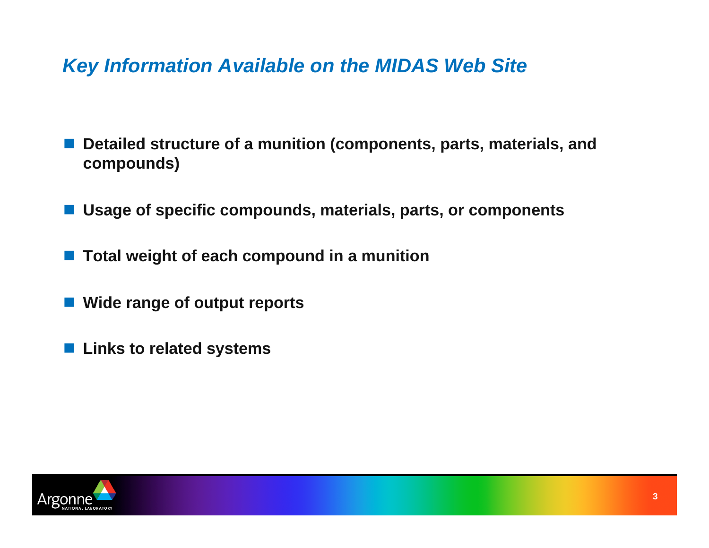*Key Information Available on the MIDAS Web Site* 

- F **Detailed structure of a munition (components, parts, materials, and compounds)**
- **Usage of specific compounds, materials, parts, or components**
- E **Total weight of each compound in a munition**
- F **Wide range of output reports**
- F **Links to related systems**

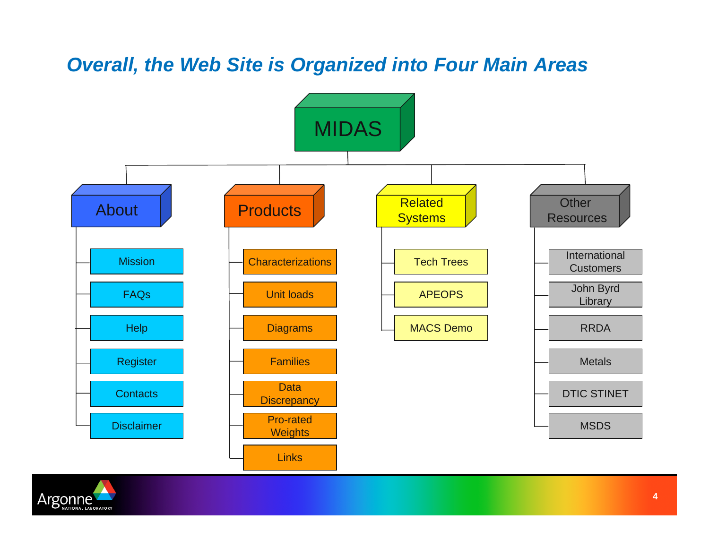## *Overall, the Web Site is Organized into Four Main Areas*



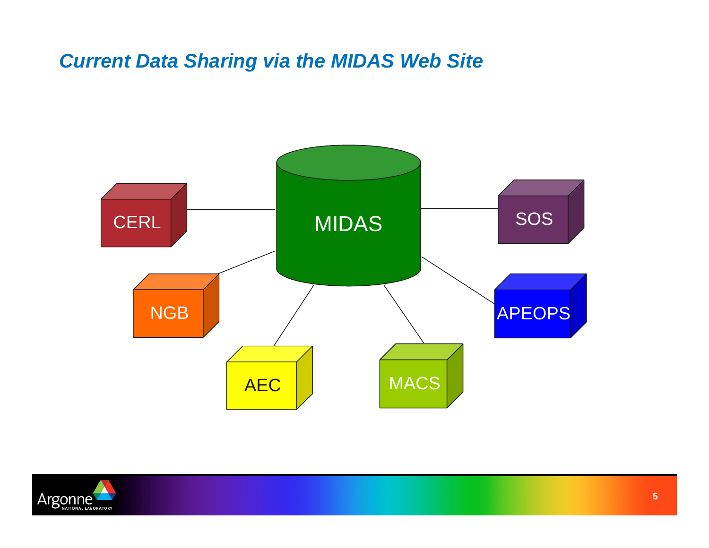## *Current Data Sharing via the MIDAS Web Site*



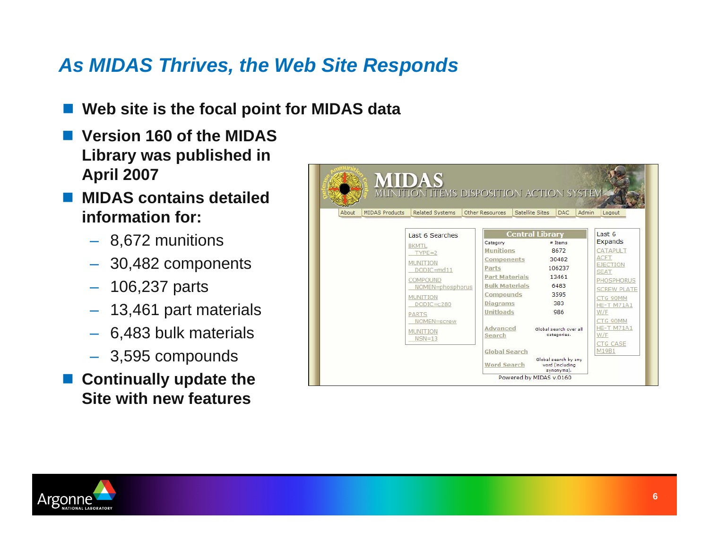# *As MIDAS Thrives, the Web Site Responds*

- $\overline{\phantom{a}}$ **Web site is the focal point for MIDAS data**
- $\overline{\mathbb{R}}$  **Version 160 of the MIDAS Library was published in April 2007**
- $\overline{\mathbb{R}}$  **MIDAS contains detailed information for:**
	- 8,672 munitions
	- 30,482 components
	- 106,237 parts
	- 13,461 part materials
	- 6,483 bulk materials
	- 3,595 compounds

### **E** Continually update the **Site with new features**

| MIDAS Products<br>About | <b>Related Systems</b> | Satellite Sites<br>Other Resources | <b>Admin</b><br>DAC.                  | Logout                   |
|-------------------------|------------------------|------------------------------------|---------------------------------------|--------------------------|
|                         | Last 6 Searches        |                                    | <b>Central Library</b>                | Last 6                   |
|                         | <b>BKMTL</b>           | Category                           | $#$ Thems                             | Expands                  |
|                         | $TYPE=2$               | <b>Munitions</b>                   | 8672                                  | CATAPULT                 |
|                         | <b>MUNITION</b>        | <b>Components</b>                  | 30482                                 | ACFT<br><b>EJECTION</b>  |
|                         | DODIC=md11             | Parts                              | 106237                                | <b>SEAT</b>              |
|                         | COMPOUND               | <b>Part Materials</b>              | 13461                                 | PHOSPHORUS               |
|                         | NOMEN=phosphorus       | <b>Bulk Materials</b>              | 6483                                  | <b>SCREW PLATE</b>       |
|                         | <b>MUNITION</b>        | Compounds                          | 3595                                  | CTG 90MM                 |
|                         | $DODIC = c280$         | <b>Diagrams</b>                    | 383                                   | <b>HE-T M71A1</b>        |
|                         | PARTS                  | <b>Unitloads</b>                   | 986                                   | W/F                      |
|                         | NOMEN=screw            |                                    |                                       | CTG 90MM                 |
|                         | <b>MUNITION</b>        | Advanced<br>Search                 | Global search over all<br>categories. | <b>HE-T M71A1</b><br>W/F |
|                         | $NSN=13$               |                                    |                                       | <b>CTG CASE</b>          |
|                         |                        |                                    |                                       |                          |

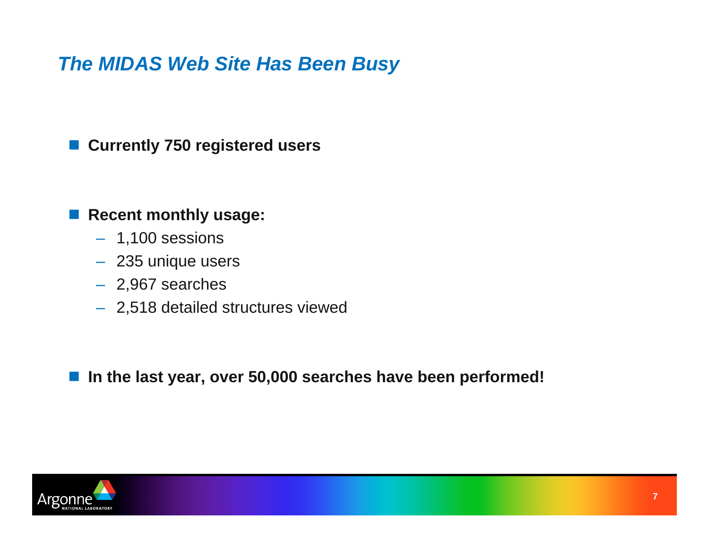## *The MIDAS Web Site Has Been Busy*

#### **Currently 750 registered users**

#### **Recent monthly usage:**

- 1,100 sessions
- 235 unique users
- 2,967 searches
- 2,518 detailed structures viewed

**In the last year, over 50,000 searches have been performed!**

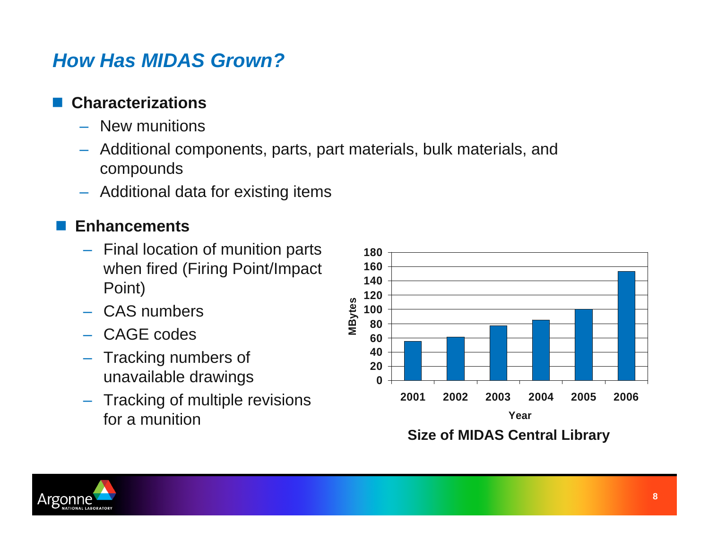## *How Has MIDAS Grown?*

## **Characterizations**

- New munitions
- – Additional components, parts, part materials, bulk materials, and compounds
- Additional data for existing items

#### F **Enhancements**

- Final location of munition parts when fired (Firing Point/Impact Point)
- CAS numbers
- CAGE codes
- Tracking numbers of unavailable drawings
- Tracking of multiple revisions for a munition



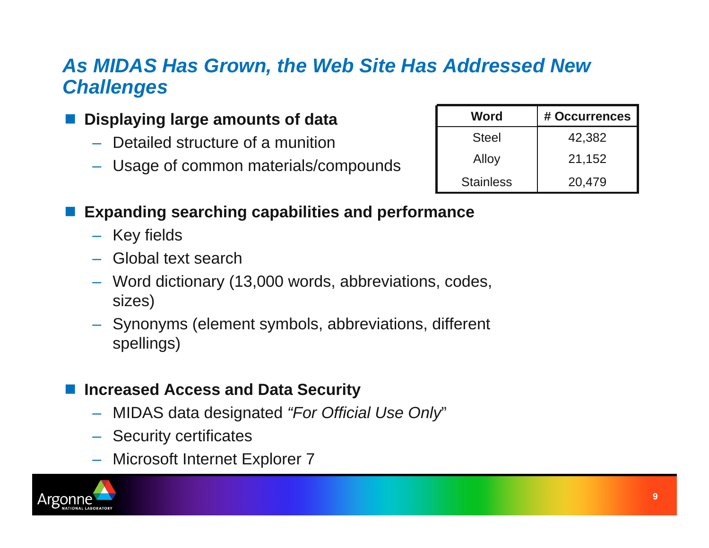## *As MIDAS Has Grown, the Web Site Has Addressed New Challenges*

### **Displaying large amounts of data**

- Detailed structure of a munition
- Usage of common materials/compounds

| Word             | # Occurrences |  |
|------------------|---------------|--|
| <b>Steel</b>     | 42,382        |  |
| Alloy            | 21,152        |  |
| <b>Stainless</b> | 20,479        |  |

## **Expanding searching capabilities and performance**

- Key fields
- Global text search
- Word dictionary (13,000 words, abbreviations, codes, sizes)
- Synonyms (element symbols, abbreviations, different spellings)

#### **Increased Access and Data Security**

- MIDAS data designated *"For Official Use Only*"
- Security certificates
- Microsoft Internet Explorer 7

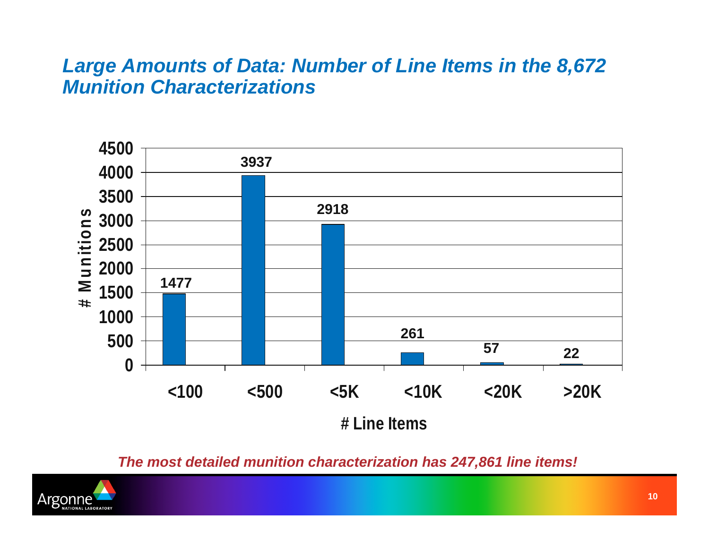## *Large Amounts of Data: Number of Line Items in the 8,672 Munition Characterizations*



*The most detailed munition characterization has 247,861 line items!*

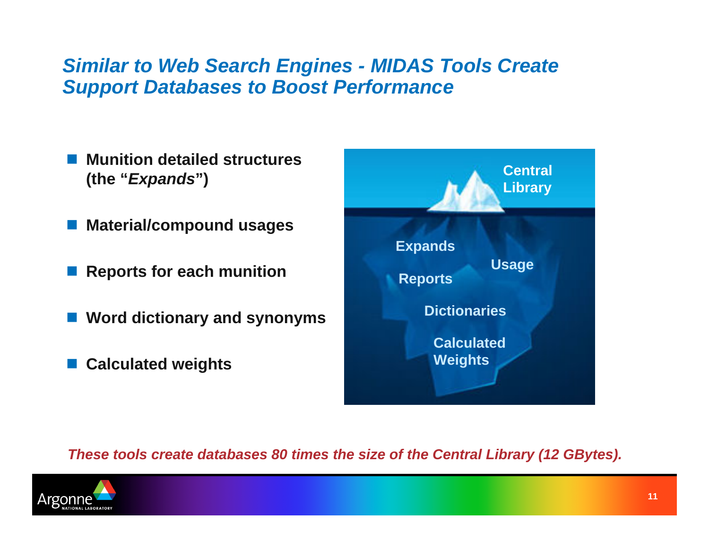## *Similar to Web Search Engines - MIDAS Tools Create Support Databases to Boost Performance*

- **Munition detailed structures (the "***Expands***")**
- **Material/compound usages**
- **Reports for each munition**
- **Word dictionary and synonyms**
- **Calculated weights**



*These tools create databases 80 times the size of the Central Library (12 GBytes).*

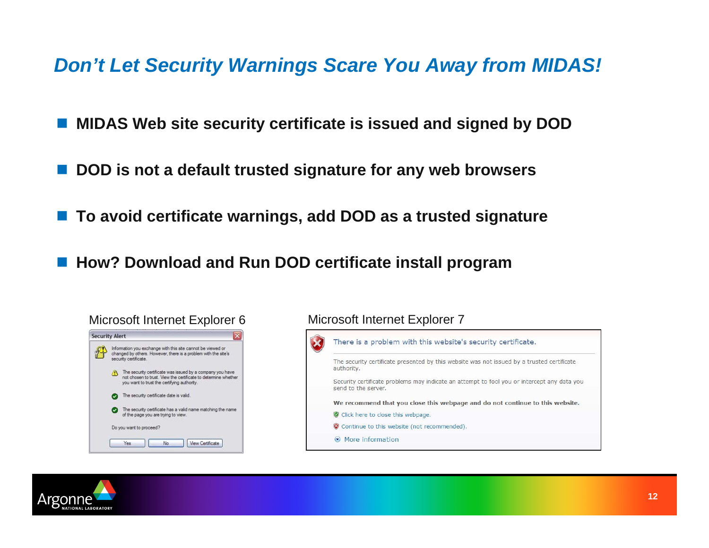*Don't Let Security Warnings Scare You Away from MIDAS!*

- $\overline{\mathbb{R}}$ **MIDAS Web site security certificate is issued and signed by DOD**
- $\overline{\mathbb{R}}$ **DOD is not a default trusted signature for any web browsers**
- $\overline{\mathbb{R}}$ **To avoid certificate warnings, add DOD as a trusted signature**
- $\mathbb{R}^2$ **How? Download and Run DOD certificate install program**



#### Microsoft Internet Explorer 6 Microsoft Internet Explorer 7



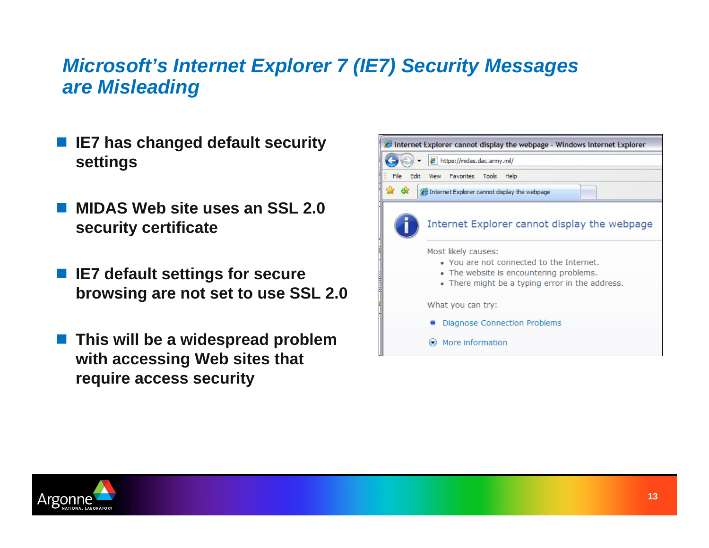## *Microsoft's Internet Explorer 7 (IE7) Security Messages are Misleading*

- $\overline{\phantom{a}}$  **IE7 has changed default security settings**
- $\overline{\phantom{a}}$  **MIDAS Web site uses an SSL 2.0 security certificate**
- $\overline{\phantom{a}}$  **IE7 default settings for secure browsing are not set to use SSL 2.0**
- E **This will be a widespread problem with accessing Web sites that require access security**



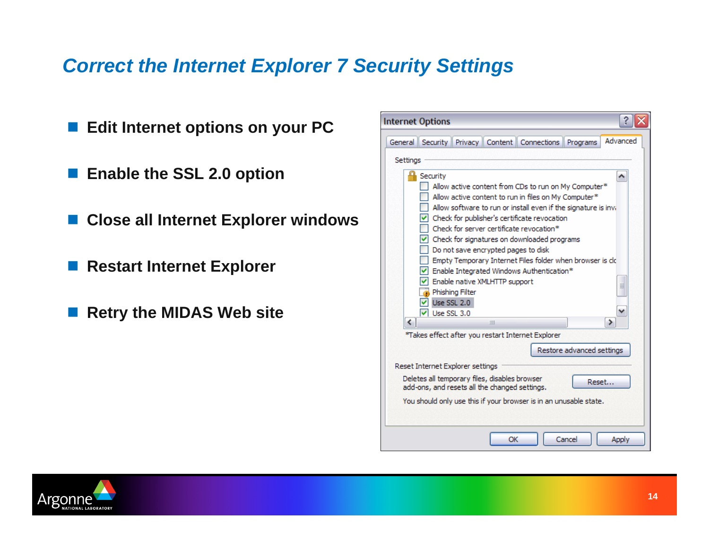## *Correct the Internet Explorer 7 Security Settings*

**Internet Options** ■ Edit Internet options on your PC General | Security | Privacy | Content | Connections | Programs Settinas **Enable the SSL 2.0 option** Security Allow active content from CDs to run on My Computer\*  $\Box$  Allow active content to run in files on My Computer\*  $\Box$  Allow software to run or install even if the signature is inv. **Close all Internet Explorer windows**  $\triangledown$  Check for publisher's certificate revocation Check for server certificate revocation\*  $\triangledown$  Check for signatures on downloaded programs Do not save encrypted pages to disk Empty Temporary Internet Files folder when browser is close **Restart Internet Explorer**  $\triangledown$  Enable Integrated Windows Authentication\* TV Enable native XMLHTTP support Phishing Filter  $\boxed{\triangledown}$  Use SSL 2.0 **Retry the MIDAS Web site**  $\boxed{\vee}$  Use SSL 3.0 K  $\mathbf{m}$ \*Takes effect after you restart Internet Explorer Restore advanced settings Reset Internet Explorer settings Deletes all temporary files, disables browser add-ons, and resets all the changed settings. You should only use this if your browser is in an unusable state. ОК Cancel



 $?$   $\times$ 

Advanced

 $\rightarrow$ 

Reset...

Apply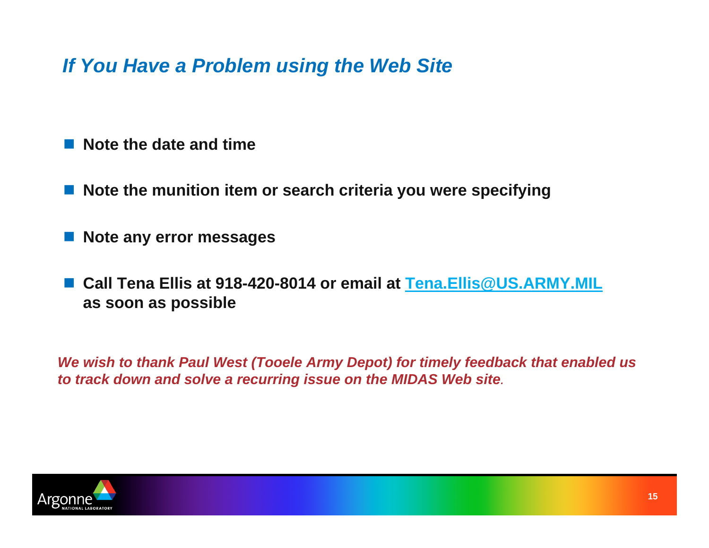*If You Have a Problem using the Web Site*

- $\Box$ **Note the date and time**
- $\Box$ **Note the munition item or search criteria you were specifying**
- $\Box$ **Note any error messages**
- $\Box$  **Call Tena Ellis at 918-420-8014 or email at [Tena.Ellis@US.ARMY.MIL](mailto:Tena.Ellis@US.ARMY.MIL) as soon as possible**

*We wish to thank Paul West (Tooele Army Depot) for timely feedback that enabled us to track down and solve a recurring issue on the MIDAS Web site.*

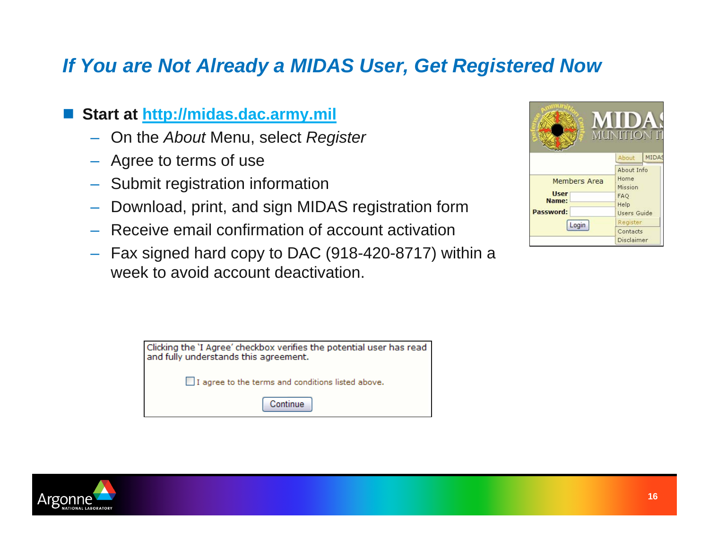## *If You are Not Already a MIDAS User, Get Registered Now*

#### $\Box$ **Start at [http://midas.dac.army.mil](http://midas.dac.army.mil/)**

- On the *About* Menu, select *Register*
- Agree to terms of use
- Submit registration information
- Download, print, and sign MIDAS registration form
- Receive email confirmation of account activation
- Fax signed hard copy to DAC (918-420-8717) within a week to avoid account deactivation.

| Clicking the 'I Agree' checkbox verifies the potential user has read<br>and fully understands this agreement. |  |  |  |  |
|---------------------------------------------------------------------------------------------------------------|--|--|--|--|
| I agree to the terms and conditions listed above.                                                             |  |  |  |  |
| Continue                                                                                                      |  |  |  |  |

|                                                   | <b>MUNITION IT</b><br>About                                        | <b>MIDAS</b>           |  |
|---------------------------------------------------|--------------------------------------------------------------------|------------------------|--|
|                                                   |                                                                    |                        |  |
| Members Area<br><b>User</b><br>Name:<br>Password: | About Info<br>Home<br>Mission<br>FAQ<br>Help<br><b>Users Guide</b> |                        |  |
| Login                                             | Register                                                           |                        |  |
|                                                   |                                                                    | Contacts<br>Disclaimer |  |